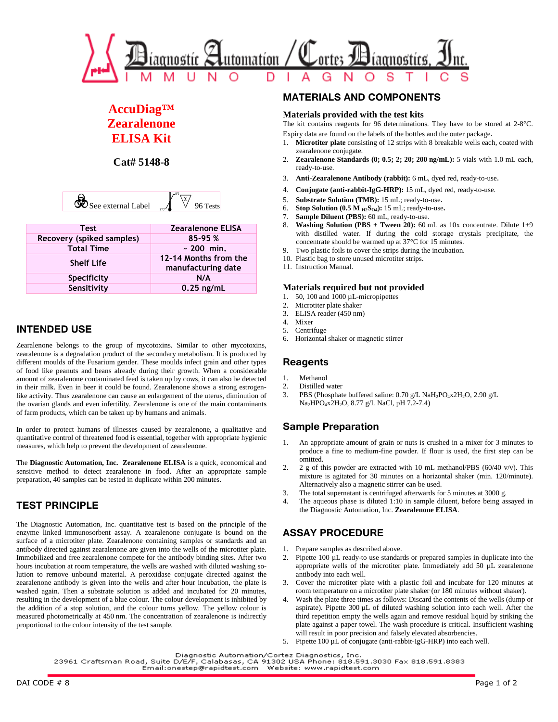

# **AccuDiag™ Zearalenone ELISA Kit**

**Cat# 5148-8** 

| 1م<br>ıl I<br>$\Omega$ |  |
|------------------------|--|
|                        |  |

| <b>Test</b>               | <b>Zearalenone ELISA</b> |
|---------------------------|--------------------------|
| Recovery (spiked samples) | 85-95 %                  |
| <b>Total Time</b>         | $~200$ min.              |
| <b>Shelf Life</b>         | 12-14 Months from the    |
|                           | manufacturing date       |
| Specificity               | N/A                      |
| Sensitivity               | $0.25$ ng/mL             |

## **INTENDED USE**

Zearalenone belongs to the group of mycotoxins. Similar to other mycotoxins, zearalenone is a degradation product of the secondary metabolism. It is produced by different moulds of the Fusarium gender. These moulds infect grain and other types of food like peanuts and beans already during their growth. When a considerable amount of zearalenone contaminated feed is taken up by cows, it can also be detected in their milk. Even in beer it could be found. Zearalenone shows a strong estrogenlike activity. Thus zearalenone can cause an enlargement of the uterus, diminution of the ovarian glands and even infertility. Zearalenone is one of the main contaminants of farm products, which can be taken up by humans and animals.

In order to protect humans of illnesses caused by zearalenone, a qualitative and quantitative control of threatened food is essential, together with appropriate hygienic measures, which help to prevent the development of zearalenone.

The **Diagnostic Automation, Inc. Zearalenone ELISA** is a quick, economical and sensitive method to detect zearalenone in food. After an appropriate sample preparation, 40 samples can be tested in duplicate within 200 minutes.

## **TEST PRINCIPLE**

The Diagnostic Automation, Inc. quantitative test is based on the principle of the enzyme linked immunosorbent assay. A zearalenone conjugate is bound on the surface of a microtiter plate. Zearalenone containing samples or standards and an antibody directed against zearalenone are given into the wells of the microtiter plate. Immobilized and free zearalenone compete for the antibody binding sites. After two hours incubation at room temperature, the wells are washed with diluted washing solution to remove unbound material. A peroxidase conjugate directed against the zearalenone antibody is given into the wells and after hour incubation, the plate is washed again. Then a substrate solution is added and incubated for 20 minutes, resulting in the development of a blue colour. The colour development is inhibited by the addition of a stop solution, and the colour turns yellow. The yellow colour is measured photometrically at 450 nm. The concentration of zearalenone is indirectly proportional to the colour intensity of the test sample.

### **MATERIALS AND COMPONENTS**

#### **Materials provided with the test kits**

The kit contains reagents for 96 determinations. They have to be stored at 2-8°C. Expiry data are found on the labels of the bottles and the outer package.

- 1. **Microtiter plate** consisting of 12 strips with 8 breakable wells each, coated with zearalenone conjugate.
- 2. **Zearalenone Standards (0; 0.5; 2; 20; 200 ng/mL):** 5 vials with 1.0 mL each, ready-to-use.
- 3. **Anti-Zearalenone Antibody (rabbit):** 6 mL, dyed red, ready-to-use.
- 4. **Conjugate (anti-rabbit-IgG-HRP):** 15 mL, dyed red, ready-to-use.
- 5. **Substrate Solution (TMB):** 15 mL; ready-to-use.
- 6. **Stop Solution (0.5 M**  $_{\text{H2}}$ **S<sub>O4</sub>):** 15 mL; ready-to-use.<br>7. **Sample Diluent (PBS):** 60 mL, ready-to-use.
- Sample Diluent (PBS): 60 mL, ready-to-use.
- 8. **Washing Solution (PBS + Tween 20):** 60 mL as 10x concentrate. Dilute 1+9 with distilled water. If during the cold storage crystals precipitate, the concentrate should be warmed up at 37°C for 15 minutes.
- Two plastic foils to cover the strips during the incubation.
- 10. Plastic bag to store unused microtiter strips.
- 11. Instruction Manual.

#### **Materials required but not provided**

- 1. 50, 100 and 1000 µL-micropipettes
- 2. Microtiter plate shaker<br>3. ELISA reader (450 nm)
- ELISA reader (450 nm)
- 4. Mixer
- 5. Centrifuge
- 6. Horizontal shaker or magnetic stirrer

## **Reagents**

- 1. Methanol
- 
- 2. Distilled water<br>3. PBS (Phosphat PBS (Phosphate buffered saline:  $0.70$  g/L NaH<sub>2</sub>PO<sub>4</sub>x2H<sub>2</sub>O, 2.90 g/L Na2HPO4x2H2O, 8.77 g/L NaCl, pH 7.2-7.4)

### **Sample Preparation**

- An appropriate amount of grain or nuts is crushed in a mixer for 3 minutes to produce a fine to medium-fine powder. If flour is used, the first step can be omitted.
- 2. 2 g of this powder are extracted with 10 mL methanol/PBS ( $60/40$  v/v). This mixture is agitated for 30 minutes on a horizontal shaker (min. 120/minute). Alternatively also a magnetic stirrer can be used.
- 3. The total supernatant is centrifuged afterwards for 5 minutes at 3000 g.
- 4. The aqueous phase is diluted 1:10 in sample diluent, before being assayed in the Diagnostic Automation, Inc. **Zearalenone ELISA**.

### **ASSAY PROCEDURE**

- 1. Prepare samples as described above.
- 2. Pipette 100 µL ready-to use standards or prepared samples in duplicate into the appropriate wells of the microtiter plate. Immediately add 50 µL zearalenone antibody into each well.
- 3. Cover the microtiter plate with a plastic foil and incubate for 120 minutes at room temperature on a microtiter plate shaker (or 180 minutes without shaker).
- Wash the plate three times as follows: Discard the contents of the wells (dump or aspirate). Pipette 300 µL of diluted washing solution into each well. After the third repetition empty the wells again and remove residual liquid by striking the plate against a paper towel. The wash procedure is critical. Insufficient washing will result in poor precision and falsely elevated absorbencies.
- 5. Pipette 100 µL of conjugate (anti-rabbit-IgG-HRP) into each well.

Diagnostic Automation/Cortez Diagnostics, Inc.

23961 Craftsman Road, Suite D/E/F, Calabasas, CA 91302 USA Phone: 818.591.3030 Fax 818.591.8383 Email:onestep@rapidtest.com Website: www.rapidtest.com